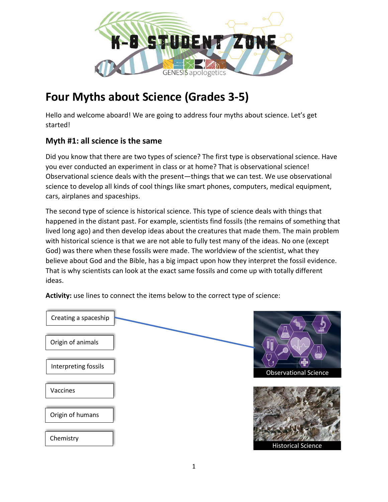

# **Four Myths about Science (Grades 3-5)**

Hello and welcome aboard! We are going to address four myths about science. Let's get started!

#### **Myth #1: all science is the same**

Did you know that there are two types of science? The first type is observational science. Have you ever conducted an experiment in class or at home? That is observational science! Observational science deals with the present—things that we can test. We use observational science to develop all kinds of cool things like smart phones, computers, medical equipment, cars, airplanes and spaceships.

The second type of science is historical science. This type of science deals with things that happened in the distant past. For example, scientists find fossils (the remains of something that lived long ago) and then develop ideas about the creatures that made them. The main problem with historical science is that we are not able to fully test many of the ideas. No one (except God) was there when these fossils were made. The worldview of the scientist, what they believe about God and the Bible, has a big impact upon how they interpret the fossil evidence. That is why scientists can look at the exact same fossils and come up with totally different ideas.

Observational Science Historical Science Creating a spaceship Origin of animals Interpreting fossils Vaccines Origin of humans **Chemistry** 

**Activity:** use lines to connect the items below to the correct type of science: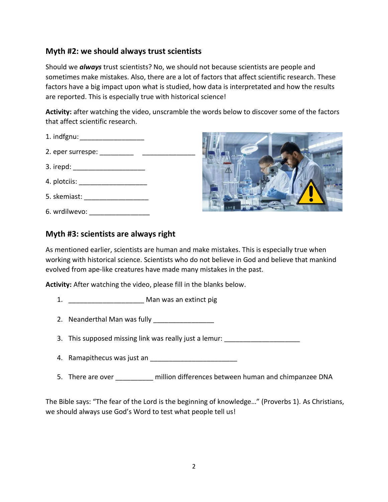#### **Myth #2: we should always trust scientists**

Should we *always* trust scientists? No, we should not because scientists are people and sometimes make mistakes. Also, there are a lot of factors that affect scientific research. These factors have a big impact upon what is studied, how data is interpretated and how the results are reported. This is especially true with historical science!

**Activity:** after watching the video, unscramble the words below to discover some of the factors that affect scientific research.

- 1. indfgnu: **and the set of the set of the set of the set of the set of the set of the set of the set of the set of the set of the set of the set of the set of the set of the set of the set of the set of the set of the set**
- 2. eper surrespe: \_\_\_\_\_\_\_\_\_ \_\_\_\_\_\_\_\_\_\_\_\_\_\_
- 3. irepd: \_\_\_\_\_\_\_\_\_\_\_\_\_\_\_\_\_\_\_
- 4. plotciis: \_\_\_\_\_\_\_\_\_\_\_\_\_\_\_\_\_\_
- 5. skemiast: \_\_\_\_\_\_\_\_\_\_\_\_\_\_\_\_\_
- 6. wrdilwevo:



#### **Myth #3: scientists are always right**

As mentioned earlier, scientists are human and make mistakes. This is especially true when working with historical science. Scientists who do not believe in God and believe that mankind evolved from ape-like creatures have made many mistakes in the past.

**Activity:** After watching the video, please fill in the blanks below.

- 1. **\_\_\_\_\_\_\_\_\_\_\_** Man was an extinct pig
- 2. Neanderthal Man was fully \_\_\_\_\_\_\_\_\_\_\_\_\_\_\_\_
- 3. This supposed missing link was really just a lemur:
- 4. Ramapithecus was just an \_\_\_\_\_\_\_\_\_\_\_\_\_\_\_\_\_\_\_\_\_\_\_
- 5. There are over **Example 20** million differences between human and chimpanzee DNA

The Bible says: "The fear of the Lord is the beginning of knowledge…" (Proverbs 1). As Christians, we should always use God's Word to test what people tell us!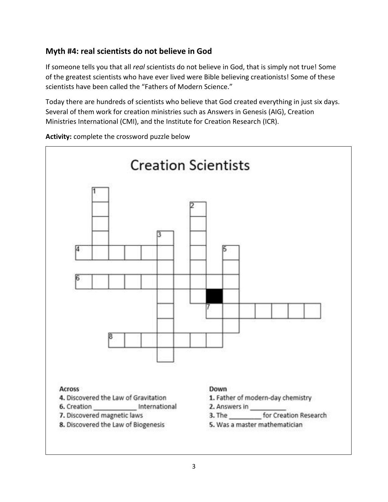## **Myth #4: real scientists do not believe in God**

If someone tells you that all *real* scientists do not believe in God, that is simply not true! Some of the greatest scientists who have ever lived were Bible believing creationists! Some of these scientists have been called the "Fathers of Modern Science."

Today there are hundreds of scientists who believe that God created everything in just six days. Several of them work for creation ministries such as Answers in Genesis (AIG), Creation Ministries International (CMI), and the Institute for Creation Research (ICR).



**Activity:** complete the crossword puzzle below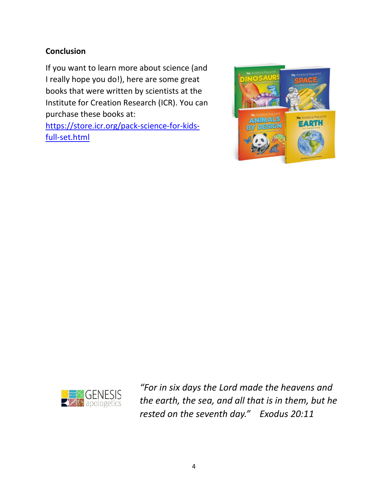## **Conclusion**

If you want to learn more about science (and I really hope you do!), here are some great books that were written by scientists at the Institute for Creation Research (ICR). You can purchase these books at: [https://store.icr.org/pack-science-for-kids-](https://store.icr.org/pack-science-for-kids-full-set.html)

[full-set.html](https://store.icr.org/pack-science-for-kids-full-set.html)





*"For in six days the Lord made the heavens and the earth, the sea, and all that is in them, but he rested on the seventh day." Exodus 20:11*